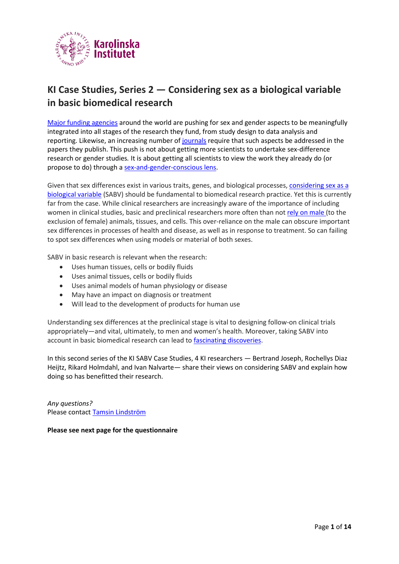

# **KI Case Studies, Series 2 — Considering sex as a biological variable in basic biomedical research**

[Major funding agencies](https://ki.se/en/staff/funders-views-on-sex-and-gender-aspects-of-research-proposals?_ga=2.52380064.868214606.1548069952-848974468.1547634694) around the world are pushing for sex and gender aspects to be meaningfully integrated into all stages of the research they fund, from study design to data analysis and reporting. Likewise, an increasing number of [journals](https://genderedinnovations.stanford.edu/sex-and-gender-analysis-policies-peer-reviewed-journals.html) require that such aspects be addressed in the papers they publish. This push is not about getting more scientists to undertake sex-difference research or gender studies*.* It is about getting all scientists to view the work they already do (or propose to do) through [a sex-and-gender-conscious lens.](https://staff.ki.se/think-about-sex-if-you-want-to-win-that-grant)

Given that sex differences exist in various traits, genes, and biological processes, [considering sex as a](https://reader.elsevier.com/reader/sd/pii/S0031938417302585?token=2D929C54081B1E050F309068C21704249B6ED8E2BFA5551C430E7ADD6E6D88CD2870D9FBDD80B2A106D27E918AA67BF4)  [biological variable](https://reader.elsevier.com/reader/sd/pii/S0031938417302585?token=2D929C54081B1E050F309068C21704249B6ED8E2BFA5551C430E7ADD6E6D88CD2870D9FBDD80B2A106D27E918AA67BF4) (SABV) should be fundamental to biomedical research practice. Yet this is currently far from the case. While clinical researchers are increasingly aware of the importance of including women in clinical studies, basic and preclinical researchers more often than not [rely on male](https://www.ncbi.nlm.nih.gov/pmc/articles/PMC3008499/) (to the exclusion of female) animals, tissues, and cells. This over-reliance on the male can obscure important sex differences in processes of health and disease, as well as in response to treatment. So can failing to spot sex differences when using models or material of both sexes.

SABV in basic research is relevant when the research:

- Uses human tissues, cells or bodily fluids
- Uses animal tissues, cells or bodily fluids
- Uses animal models of human physiology or disease
- May have an impact on diagnosis or treatment
- Will lead to the development of products for human use

Understanding sex differences at the preclinical stage is vital to designing follow-on clinical trials appropriately—and vital, ultimately, to men and women's health. Moreover, taking SABV into account in basic biomedical research can lead to [fascinating discoveries.](http://stm.sciencemag.org/content/6/258/258fs40)

In this second series of the KI SABV Case Studies, 4 KI researchers — Bertrand Joseph, Rochellys Diaz Heijtz, Rikard Holmdahl, and Ivan Nalvarte— share their views on considering SABV and explain how doing so has benefitted their research.

*Any questions?*  Please contact [Tamsin Lindström](mailto:tamsin.lindstrom@ki.se)

## **Please see next page for the questionnaire**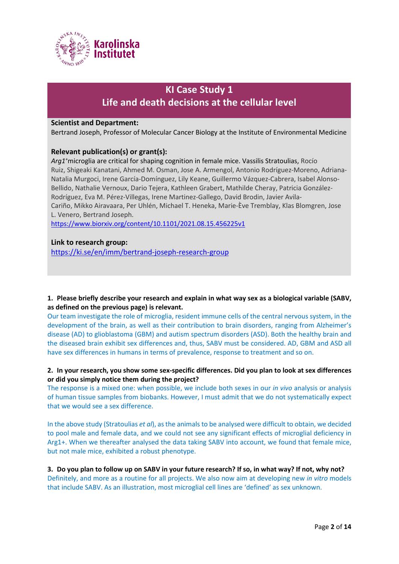

# **KI Case Study 1 Life and death decisions at the cellular level**

## **Scientist and Department:**

Bertrand Joseph, Professor of Molecular Cancer Biology at the Institute of Environmental Medicine

## **Relevant publication(s) or grant(s):**

*Arg1+* microglia are critical for shaping cognition in female mice. Vassilis Stratoulias, Rocío Ruiz, Shigeaki Kanatani, Ahmed M. Osman, Jose A. Armengol, Antonio Rodríguez-Moreno, Adriana-Natalia Murgoci, Irene García-Domínguez, Lily Keane, Guillermo Vázquez-Cabrera, Isabel Alonso-Bellido, Nathalie Vernoux, Dario Tejera, Kathleen Grabert, Mathilde Cheray, Patricia González-Rodríguez, Eva M. Pérez-Villegas, Irene Martinez-Gallego, David Brodin, Javier Avila-Cariño, Mikko Airavaara, Per Uhlén, Michael T. Heneka, Marie-Ève Tremblay, Klas Blomgren, Jose L. Venero, Bertrand Joseph. <https://www.biorxiv.org/content/10.1101/2021.08.15.456225v1>

**Link to research group:**

<https://ki.se/en/imm/bertrand-joseph-research-group>

**1. Please briefly describe your research and explain in what way sex as a biological variable (SABV, as defined on the previous page) is relevant.**

Our team investigate the role of microglia, resident immune cells of the central nervous system, in the development of the brain, as well as their contribution to brain disorders, ranging from Alzheimer's disease (AD) to glioblastoma (GBM) and autism spectrum disorders (ASD). Both the healthy brain and the diseased brain exhibit sex differences and, thus, SABV must be considered. AD, GBM and ASD all have sex differences in humans in terms of prevalence, response to treatment and so on.

## **2. In your research, you show some sex-specific differences. Did you plan to look at sex differences or did you simply notice them during the project?**

The response is a mixed one: when possible, we include both sexes in our *in vivo* analysis or analysis of human tissue samples from biobanks. However, I must admit that we do not systematically expect that we would see a sex difference.

In the above study (Stratoulias *et al*), as the animals to be analysed were difficult to obtain, we decided to pool male and female data, and we could not see any significant effects of microglial deficiency in Arg1+. When we thereafter analysed the data taking SABV into account, we found that female mice, but not male mice, exhibited a robust phenotype.

## **3. Do you plan to follow up on SABV in your future research? If so, in what way? If not, why not?**

Definitely, and more as a routine for all projects. We also now aim at developing new *in vitro* models that include SABV. As an illustration, most microglial cell lines are 'defined' as sex unknown.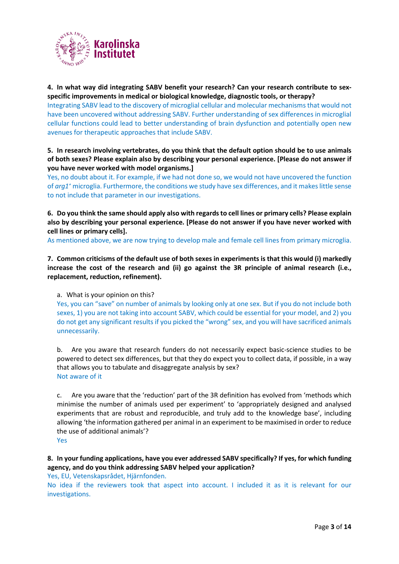

**4. In what way did integrating SABV benefit your research? Can your research contribute to sexspecific improvements in medical or biological knowledge, diagnostic tools, or therapy?**

Integrating SABV lead to the discovery of microglial cellular and molecular mechanisms that would not have been uncovered without addressing SABV. Further understanding of sex differences in microglial cellular functions could lead to better understanding of brain dysfunction and potentially open new avenues for therapeutic approaches that include SABV.

**5. In research involving vertebrates, do you think that the default option should be to use animals of both sexes? Please explain also by describing your personal experience. [Please do not answer if you have never worked with model organisms.]**

Yes, no doubt about it. For example, if we had not done so, we would not have uncovered the function of *arg1+* microglia. Furthermore, the conditions we study have sex differences, and it makes little sense to not include that parameter in our investigations.

**6. Do you think the same should apply also with regards to cell lines or primary cells? Please explain also by describing your personal experience. [Please do not answer if you have never worked with cell lines or primary cells].**

As mentioned above, we are now trying to develop male and female cell lines from primary microglia.

**7. Common criticisms of the default use of both sexes in experiments is that this would (i) markedly increase the cost of the research and (ii) go against the 3R principle of animal research (i.e., replacement, reduction, refinement).** 

## a. What is your opinion on this?

Yes, you can "save" on number of animals by looking only at one sex. But if you do not include both sexes, 1) you are not taking into account SABV, which could be essential for your model, and 2) you do not get any significant results if you picked the "wrong" sex, and you will have sacrificed animals unnecessarily.

b. Are you aware that research funders do not necessarily expect basic-science studies to be powered to detect sex differences, but that they do expect you to collect data, if possible, in a way that allows you to tabulate and disaggregate analysis by sex? Not aware of it

c. Are you aware that the 'reduction' part of the 3R definition has evolved from 'methods which minimise the number of animals used per experiment' to 'appropriately designed and analysed experiments that are robust and reproducible, and truly add to the knowledge base', including allowing 'the information gathered per animal in an experiment to be maximised in order to reduce the use of additional animals'? Yes

**8. In your funding applications, have you ever addressed SABV specifically? If yes, for which funding agency, and do you think addressing SABV helped your application?**

Yes, EU, Vetenskapsrådet, Hjärnfonden.

No idea if the reviewers took that aspect into account. I included it as it is relevant for our investigations.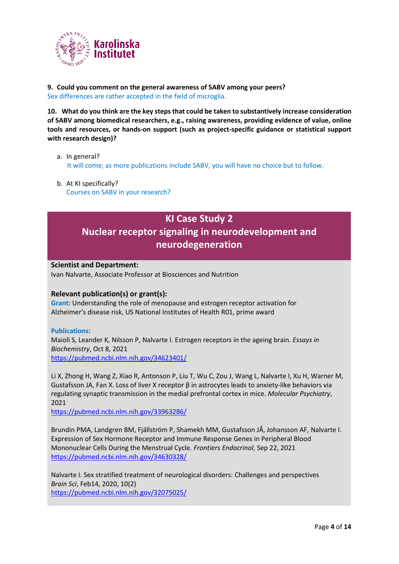

**9. Could you comment on the general awareness of SABV among your peers?** Sex differences are rather accepted in the field of microglia.

**10. What do you think are the key steps that could be taken to substantively increase consideration of SABV among biomedical researchers, e.g., raising awareness, providing evidence of value, online tools and resources, or hands-on support (such as project-specific guidance or statistical support with research design)?**

- a. In general? It will come; as more publications include SABV, you will have no choice but to follow.
- b. At KI specifically? Courses on SABV in your research?

# **KI Case Study 2 Nuclear receptor signaling in neurodevelopment and neurodegeneration**

#### **Scientist and Department:**

Ivan Nalvarte, Associate Professor at Biosciences and Nutrition

## **Relevant publication(s) or grant(s):**

**Grant:** Understanding the role of menopause and estrogen receptor activation for Alzheimer's disease risk, US National Institutes of Health R01, prime award

## **Publications:**

Maioli S, Leander K, Nilsson P, Nalvarte I. Estrogen receptors in the ageing brain. *Essays in Biochemistry*, Oct 8, 2021 <https://pubmed.ncbi.nlm.nih.gov/34623401/>

Li X, Zhong H, Wang Z, Xiao R, Antonson P, Liu T, Wu C, Zou J, Wang L, Nalvarte I, Xu H, Warner M, Gustafsson JA, Fan X. Loss of liver X receptor β in astrocytes leads to anxiety-like behaviors via regulating synaptic transmission in the medial prefrontal cortex in mice. *Molecular Psychiatry*, 2021

<https://pubmed.ncbi.nlm.nih.gov/33963286/>

Brundin PMA, Landgren BM, Fjällström P, Shamekh MM, Gustafsson JÅ, Johansson AF, Nalvarte I. Expression of Sex Hormone Receptor and Immune Response Genes in Peripheral Blood Mononuclear Cells During the Menstrual Cycle*. Frontiers Endocrinol*, Sep 22, 2021 <https://pubmed.ncbi.nlm.nih.gov/34630328/>

Nalvarte I. Sex stratified treatment of neurological disorders: Challenges and perspectives *Brain Sci*, Feb14, 2020, 10(2) <https://pubmed.ncbi.nlm.nih.gov/32075025/>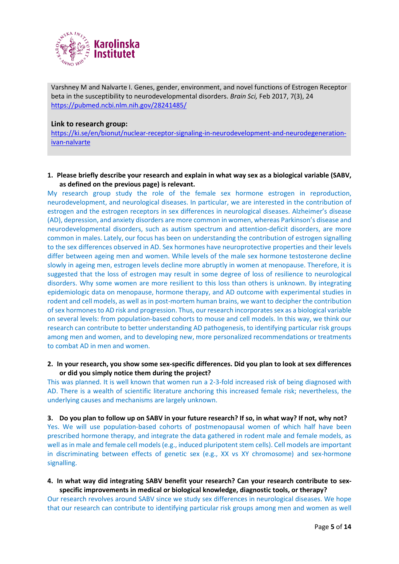

Varshney M and Nalvarte I. Genes, gender, environment, and novel functions of Estrogen Receptor beta in the susceptibility to neurodevelopmental disorders. *Brain Sci,* Feb 2017, 7(3), 24 <https://pubmed.ncbi.nlm.nih.gov/28241485/>

## **Link to research group:**

[https://ki.se/en/bionut/nuclear-receptor-signaling-in-neurodevelopment-and-neurodegeneration](https://ki.se/en/bionut/nuclear-receptor-signaling-in-neurodevelopment-and-neurodegeneration-ivan-nalvarte)[ivan-nalvarte](https://ki.se/en/bionut/nuclear-receptor-signaling-in-neurodevelopment-and-neurodegeneration-ivan-nalvarte)

## **1. Please briefly describe your research and explain in what way sex as a biological variable (SABV, as defined on the previous page) is relevant.**

My research group study the role of the female sex hormone estrogen in reproduction, neurodevelopment, and neurological diseases. In particular, we are interested in the contribution of estrogen and the estrogen receptors in sex differences in neurological diseases. Alzheimer's disease (AD), depression, and anxiety disorders are more common in women, whereas Parkinson's disease and neurodevelopmental disorders, such as autism spectrum and attention-deficit disorders, are more common in males. Lately, our focus has been on understanding the contribution of estrogen signalling to the sex differences observed in AD. Sex hormones have neuroprotective properties and their levels differ between ageing men and women. While levels of the male sex hormone testosterone decline slowly in ageing men, estrogen levels decline more abruptly in women at menopause. Therefore, it is suggested that the loss of estrogen may result in some degree of loss of resilience to neurological disorders. Why some women are more resilient to this loss than others is unknown. By integrating epidemiologic data on menopause, hormone therapy, and AD outcome with experimental studies in rodent and cell models, as well as in post-mortem human brains, we want to decipher the contribution of sex hormones to AD risk and progression. Thus, our research incorporates sex as a biological variable on several levels: from population-based cohorts to mouse and cell models. In this way, we think our research can contribute to better understanding AD pathogenesis, to identifying particular risk groups among men and women, and to developing new, more personalized recommendations or treatments to combat AD in men and women.

## **2. In your research, you show some sex-specific differences. Did you plan to look at sex differences or did you simply notice them during the project?**

This was planned. It is well known that women run a 2-3-fold increased risk of being diagnosed with AD. There is a wealth of scientific literature anchoring this increased female risk; nevertheless, the underlying causes and mechanisms are largely unknown.

## **3. Do you plan to follow up on SABV in your future research? If so, in what way? If not, why not?**

Yes. We will use population-based cohorts of postmenopausal women of which half have been prescribed hormone therapy, and integrate the data gathered in rodent male and female models, as well as in male and female cell models (e.g., induced pluripotent stem cells). Cell models are important in discriminating between effects of genetic sex (e.g., XX vs XY chromosome) and sex-hormone signalling.

## **4. In what way did integrating SABV benefit your research? Can your research contribute to sexspecific improvements in medical or biological knowledge, diagnostic tools, or therapy?**

Our research revolves around SABV since we study sex differences in neurological diseases. We hope that our research can contribute to identifying particular risk groups among men and women as well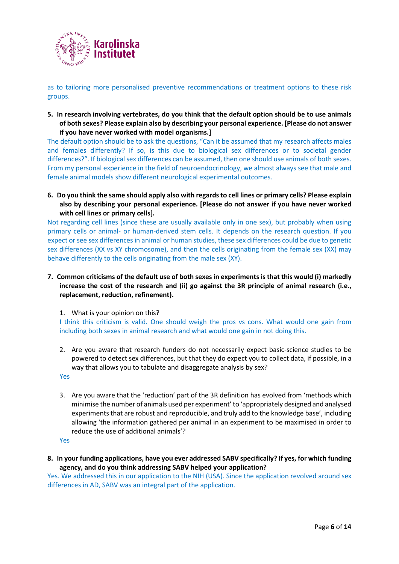

as to tailoring more personalised preventive recommendations or treatment options to these risk groups.

**5. In research involving vertebrates, do you think that the default option should be to use animals of both sexes? Please explain also by describing your personal experience. [Please do not answer if you have never worked with model organisms.]**

The default option should be to ask the questions, "Can it be assumed that my research affects males and females differently? If so, is this due to biological sex differences or to societal gender differences?". If biological sex differences can be assumed, then one should use animals of both sexes. From my personal experience in the field of neuroendocrinology, we almost always see that male and female animal models show different neurological experimental outcomes.

**6. Do you think the same should apply also with regards to cell lines or primary cells? Please explain also by describing your personal experience. [Please do not answer if you have never worked with cell lines or primary cells].**

Not regarding cell lines (since these are usually available only in one sex), but probably when using primary cells or animal- or human-derived stem cells. It depends on the research question. If you expect or see sex differences in animal or human studies, these sex differences could be due to genetic sex differences (XX vs XY chromosome), and then the cells originating from the female sex (XX) may behave differently to the cells originating from the male sex (XY).

- **7. Common criticisms of the default use of both sexes in experiments is that this would (i) markedly increase the cost of the research and (ii) go against the 3R principle of animal research (i.e., replacement, reduction, refinement).** 
	- 1. What is your opinion on this?

I think this criticism is valid. One should weigh the pros vs cons. What would one gain from including both sexes in animal research and what would one gain in not doing this.

2. Are you aware that research funders do not necessarily expect basic-science studies to be powered to detect sex differences, but that they do expect you to collect data, if possible, in a way that allows you to tabulate and disaggregate analysis by sex?

Yes

3. Are you aware that the 'reduction' part of the 3R definition has evolved from 'methods which minimise the number of animals used per experiment' to 'appropriately designed and analysed experiments that are robust and reproducible, and truly add to the knowledge base', including allowing 'the information gathered per animal in an experiment to be maximised in order to reduce the use of additional animals'?

Yes

**8. In your funding applications, have you ever addressed SABV specifically? If yes, for which funding agency, and do you think addressing SABV helped your application?**

Yes. We addressed this in our application to the NIH (USA). Since the application revolved around sex differences in AD, SABV was an integral part of the application.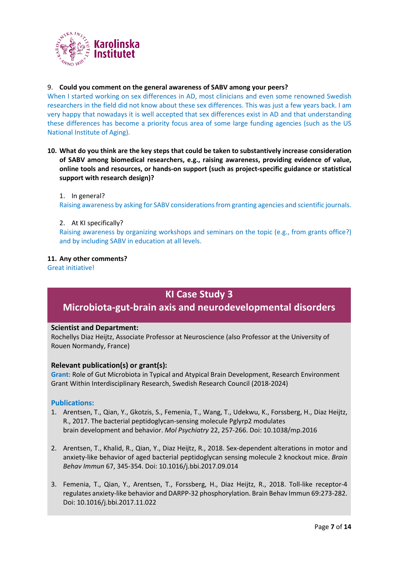

## 9. **Could you comment on the general awareness of SABV among your peers?**

When I started working on sex differences in AD, most clinicians and even some renowned Swedish researchers in the field did not know about these sex differences. This was just a few years back. I am very happy that nowadays it is well accepted that sex differences exist in AD and that understanding these differences has become a priority focus area of some large funding agencies (such as the US National Institute of Aging).

**10. What do you think are the key steps that could be taken to substantively increase consideration of SABV among biomedical researchers, e.g., raising awareness, providing evidence of value, online tools and resources, or hands-on support (such as project-specific guidance or statistical support with research design)?**

1. In general?

Raising awareness by asking for SABV considerations from granting agencies and scientific journals.

#### 2. At KI specifically?

Raising awareness by organizing workshops and seminars on the topic (e.g., from grants office?) and by including SABV in education at all levels.

#### **11. Any other comments?**

Great initiative!

## **KI Case Study 3**

## **Microbiota-gut-brain axis and neurodevelopmental disorders**

#### **Scientist and Department:**

Rochellys Diaz Heijtz, Associate Professor at Neuroscience (also Professor at the University of Rouen Normandy, France)

## **Relevant publication(s) or grant(s):**

**Grant:** Role of Gut Microbiota in Typical and Atypical Brain Development, Research Environment Grant Within Interdisciplinary Research, Swedish Research Council (2018-2024)

#### **Publications:**

- 1. Arentsen, T., Qian, Y., Gkotzis, S., Femenia, T., Wang, T., Udekwu, K., Forssberg, H., Diaz Heijtz, R., 2017. The bacterial peptidoglycan-sensing molecule Pglyrp2 modulates brain development and behavior. *Mol Psychiatry* 22, 257-266. Doi: 10.1038/mp.2016
- 2. Arentsen, T., Khalid, R., Qian, Y., Diaz Heijtz, R., 2018. Sex-dependent alterations in motor and anxiety-like behavior of aged bacterial peptidoglycan sensing molecule 2 knockout mice. *Brain Behav Immun* 67, 345-354. Doi: 10.1016/j.bbi.2017.09.014
- 3. Femenia, T., Qian, Y., Arentsen, T., Forssberg, H., Diaz Heijtz, R., 2018. Toll-like receptor-4 regulates anxiety-like behavior and DARPP-32 phosphorylation. Brain Behav Immun 69:273-282. Doi: 10.1016/j.bbi.2017.11.022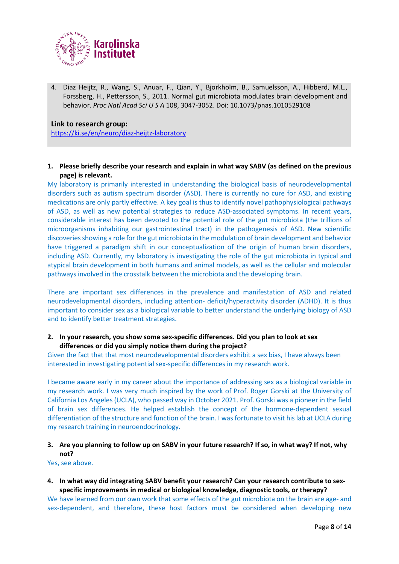

4. Diaz Heijtz, R., Wang, S., Anuar, F., Qian, Y., Bjorkholm, B., Samuelsson, A., Hibberd, M.L., Forssberg, H., Pettersson, S., 2011. Normal gut microbiota modulates brain development and behavior. *Proc Natl Acad Sci U S A* 108, 3047-3052. Doi: 10.1073/pnas.1010529108

## **Link to research group:**

<https://ki.se/en/neuro/diaz-heijtz-laboratory>

## **1. Please briefly describe your research and explain in what way SABV (as defined on the previous page) is relevant.**

My laboratory is primarily interested in understanding the biological basis of neurodevelopmental disorders such as autism spectrum disorder (ASD). There is currently no cure for ASD, and existing medications are only partly effective. A key goal is thus to identify novel pathophysiological pathways of ASD, as well as new potential strategies to reduce ASD-associated symptoms. In recent years, considerable interest has been devoted to the potential role of the gut microbiota (the trillions of microorganisms inhabiting our gastrointestinal tract) in the pathogenesis of ASD. New scientific discoveries showing a role for the gut microbiota in the modulation of brain development and behavior have triggered a paradigm shift in our conceptualization of the origin of human brain disorders, including ASD. Currently, my laboratory is investigating the role of the gut microbiota in typical and atypical brain development in both humans and animal models, as well as the cellular and molecular pathways involved in the crosstalk between the microbiota and the developing brain.

There are important sex differences in the prevalence and manifestation of ASD and related neurodevelopmental disorders, including attention- deficit/hyperactivity disorder (ADHD). It is thus important to consider sex as a biological variable to better understand the underlying biology of ASD and to identify better treatment strategies.

## **2. In your research, you show some sex-specific differences. Did you plan to look at sex differences or did you simply notice them during the project?**

Given the fact that that most neurodevelopmental disorders exhibit a sex bias, I have always been interested in investigating potential sex-specific differences in my research work.

I became aware early in my career about the importance of addressing sex as a biological variable in my research work. I was very much inspired by the work of Prof. Roger Gorski at the University of California Los Angeles (UCLA), who passed way in October 2021. Prof. Gorski was a pioneer in the field of brain sex differences. He helped establish the concept of the hormone-dependent sexual differentiation of the structure and function of the brain. I was fortunate to visit his lab at UCLA during my research training in neuroendocrinology.

## **3. Are you planning to follow up on SABV in your future research? If so, in what way? If not, why not?**

Yes, see above.

**4. In what way did integrating SABV benefit your research? Can your research contribute to sexspecific improvements in medical or biological knowledge, diagnostic tools, or therapy?**

We have learned from our own work that some effects of the gut microbiota on the brain are age- and sex-dependent, and therefore, these host factors must be considered when developing new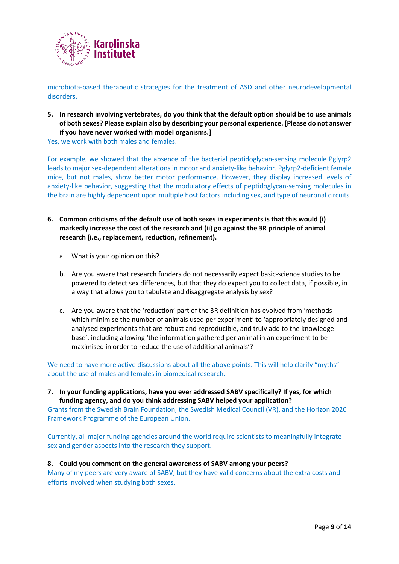

microbiota-based therapeutic strategies for the treatment of ASD and other neurodevelopmental disorders.

**5. In research involving vertebrates, do you think that the default option should be to use animals of both sexes? Please explain also by describing your personal experience. [Please do not answer if you have never worked with model organisms.]**

Yes, we work with both males and females.

For example, we showed that the absence of the bacterial peptidoglycan-sensing molecule Pglyrp2 leads to major sex-dependent alterations in motor and anxiety-like behavior. Pglyrp2-deficient female mice, but not males, show better motor performance. However, they display increased levels of anxiety-like behavior, suggesting that the modulatory effects of peptidoglycan-sensing molecules in the brain are highly dependent upon multiple host factors including sex, and type of neuronal circuits.

- **6. Common criticisms of the default use of both sexes in experiments is that this would (i) markedly increase the cost of the research and (ii) go against the 3R principle of animal research (i.e., replacement, reduction, refinement).** 
	- a. What is your opinion on this?
	- b. Are you aware that research funders do not necessarily expect basic-science studies to be powered to detect sex differences, but that they do expect you to collect data, if possible, in a way that allows you to tabulate and disaggregate analysis by sex?
	- c. Are you aware that the 'reduction' part of the 3R definition has evolved from 'methods which minimise the number of animals used per experiment' to 'appropriately designed and analysed experiments that are robust and reproducible, and truly add to the knowledge base', including allowing 'the information gathered per animal in an experiment to be maximised in order to reduce the use of additional animals'?

We need to have more active discussions about all the above points. This will help clarify "myths" about the use of males and females in biomedical research.

**7. In your funding applications, have you ever addressed SABV specifically? If yes, for which funding agency, and do you think addressing SABV helped your application?**

Grants from the Swedish Brain Foundation, the Swedish Medical Council (VR), and the Horizon 2020 Framework Programme of the European Union.

Currently, all major funding agencies around the world require scientists to meaningfully integrate sex and gender aspects into the research they support.

## **8. Could you comment on the general awareness of SABV among your peers?**

Many of my peers are very aware of SABV, but they have valid concerns about the extra costs and efforts involved when studying both sexes.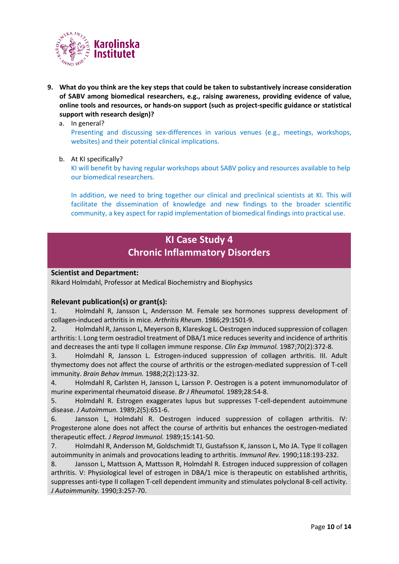

- **9. What do you think are the key steps that could be taken to substantively increase consideration of SABV among biomedical researchers, e.g., raising awareness, providing evidence of value, online tools and resources, or hands-on support (such as project-specific guidance or statistical support with research design)?**
	- a. In general?

Presenting and discussing sex-differences in various venues (e.g., meetings, workshops, websites) and their potential clinical implications.

b. At KI specifically?

KI will benefit by having regular workshops about SABV policy and resources available to help our biomedical researchers.

In addition, we need to bring together our clinical and preclinical scientists at KI. This will facilitate the dissemination of knowledge and new findings to the broader scientific community, a key aspect for rapid implementation of biomedical findings into practical use.

# **KI Case Study 4 Chronic Inflammatory Disorders**

## **Scientist and Department:**

Rikard Holmdahl, Professor at Medical Biochemistry and Biophysics

## **Relevant publication(s) or grant(s):**

1. Holmdahl R, Jansson L, Andersson M. Female sex hormones suppress development of collagen-induced arthritis in mice. *Arthritis Rheum*. 1986;29:1501-9.

2. Holmdahl R, Jansson L, Meyerson B, Klareskog L. Oestrogen induced suppression of collagen arthritis: I. Long term oestradiol treatment of DBA/1 mice reduces severity and incidence of arthritis and decreases the anti type II collagen immune response. *Clin Exp Immunol.* 1987;70(2):372-8.

3. Holmdahl R, Jansson L. Estrogen-induced suppression of collagen arthritis. III. Adult thymectomy does not affect the course of arthritis or the estrogen-mediated suppression of T-cell immunity. *Brain Behav Immun.* 1988;2(2):123-32.

4. Holmdahl R, Carlsten H, Jansson L, Larsson P. Oestrogen is a potent immunomodulator of murine experimental rheumatoid disease. *Br J Rheumatol.* 1989;28:54-8.

5. Holmdahl R. Estrogen exaggerates lupus but suppresses T-cell-dependent autoimmune disease. *J Autoimmun*. 1989;2(5):651-6.

6. Jansson L, Holmdahl R. Oestrogen induced suppression of collagen arthritis. IV: Progesterone alone does not affect the course of arthritis but enhances the oestrogen-mediated therapeutic effect. *J Reprod Immunol.* 1989;15:141-50.

7. Holmdahl R, Andersson M, Goldschmidt TJ, Gustafsson K, Jansson L, Mo JA. Type II collagen autoimmunity in animals and provocations leading to arthritis. *Immunol Rev.* 1990;118:193-232.

8. Jansson L, Mattsson A, Mattsson R, Holmdahl R. Estrogen induced suppression of collagen arthritis. V: Physiological level of estrogen in DBA/1 mice is therapeutic on established arthritis, suppresses anti-type II collagen T-cell dependent immunity and stimulates polyclonal B-cell activity. *J Autoimmunity.* 1990;3:257-70.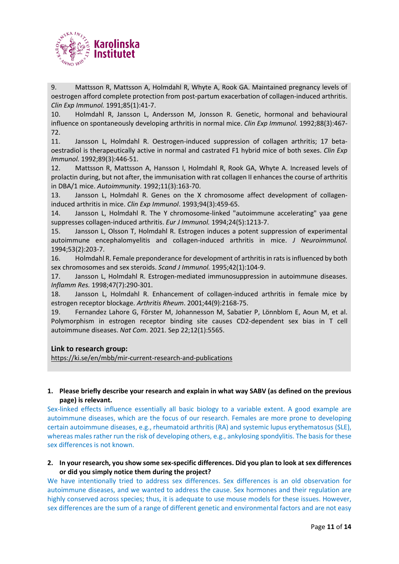

9. Mattsson R, Mattsson A, Holmdahl R, Whyte A, Rook GA. Maintained pregnancy levels of oestrogen afford complete protection from post-partum exacerbation of collagen-induced arthritis. *Clin Exp Immunol.* 1991;85(1):41-7.

10. Holmdahl R, Jansson L, Andersson M, Jonsson R. Genetic, hormonal and behavioural influence on spontaneously developing arthritis in normal mice. *Clin Exp Immunol.* 1992;88(3):467- 72.

11. Jansson L, Holmdahl R. Oestrogen-induced suppression of collagen arthritis; 17 betaoestradiol is therapeutically active in normal and castrated F1 hybrid mice of both sexes. *Clin Exp Immunol.* 1992;89(3):446-51.

12. Mattsson R, Mattsson A, Hansson I, Holmdahl R, Rook GA, Whyte A. Increased levels of prolactin during, but not after, the immunisation with rat collagen II enhances the course of arthritis in DBA/1 mice. *Autoimmunity*. 1992;11(3):163-70.

13. Jansson L, Holmdahl R. Genes on the X chromosome affect development of collageninduced arthritis in mice. *Clin Exp Immunol*. 1993;94(3):459-65.

14. Jansson L, Holmdahl R. The Y chromosome-linked "autoimmune accelerating" yaa gene suppresses collagen-induced arthritis. *Eur J Immunol.* 1994;24(5):1213-7.

15. Jansson L, Olsson T, Holmdahl R. Estrogen induces a potent suppression of experimental autoimmune encephalomyelitis and collagen-induced arthritis in mice. *J Neuroimmunol.* 1994;53(2):203-7.

16. Holmdahl R. Female preponderance for development of arthritis in rats is influenced by both sex chromosomes and sex steroids. *Scand J Immunol.* 1995;42(1):104-9.

17. Jansson L, Holmdahl R. Estrogen-mediated immunosuppression in autoimmune diseases. *Inflamm Res.* 1998;47(7):290-301.

18. Jansson L, Holmdahl R. Enhancement of collagen-induced arthritis in female mice by estrogen receptor blockage. *Arthritis Rheum*. 2001;44(9):2168-75.

19. Fernandez Lahore G, Förster M, Johannesson M, Sabatier P, Lönnblom E, Aoun M, et al. Polymorphism in estrogen receptor binding site causes CD2-dependent sex bias in T cell autoimmune diseases. *Nat Com*. 2021. Sep 22;12(1):5565.

## **Link to research group:**

<https://ki.se/en/mbb/mir-current-research-and-publications>

## **1. Please briefly describe your research and explain in what way SABV (as defined on the previous page) is relevant.**

Sex-linked effects influence essentially all basic biology to a variable extent. A good example are autoimmune diseases, which are the focus of our research. Females are more prone to developing certain autoimmune diseases, e.g., rheumatoid arthritis (RA) and systemic lupus erythematosus (SLE), whereas males rather run the risk of developing others, e.g., ankylosing spondylitis. The basis for these sex differences is not known.

## **2. In your research, you show some sex-specific differences. Did you plan to look at sex differences or did you simply notice them during the project?**

We have intentionally tried to address sex differences. Sex differences is an old observation for autoimmune diseases, and we wanted to address the cause. Sex hormones and their regulation are highly conserved across species; thus, it is adequate to use mouse models for these issues. However, sex differences are the sum of a range of different genetic and environmental factors and are not easy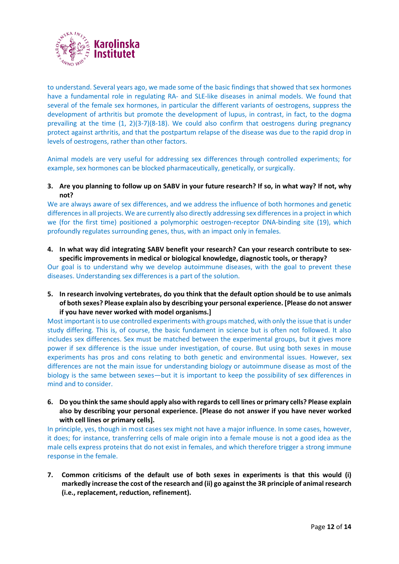

to understand. Several years ago, we made some of the basic findings that showed that sex hormones have a fundamental role in regulating RA- and SLE-like diseases in animal models. We found that several of the female sex hormones, in particular the different variants of oestrogens, suppress the development of arthritis but promote the development of lupus, in contrast, in fact, to the dogma prevailing at the time (1, 2)(3-7)(8-18). We could also confirm that oestrogens during pregnancy protect against arthritis, and that the postpartum relapse of the disease was due to the rapid drop in levels of oestrogens, rather than other factors.

Animal models are very useful for addressing sex differences through controlled experiments; for example, sex hormones can be blocked pharmaceutically, genetically, or surgically.

## **3. Are you planning to follow up on SABV in your future research? If so, in what way? If not, why not?**

We are always aware of sex differences, and we address the influence of both hormones and genetic differences in all projects. We are currently also directly addressing sex differences in a project in which we (for the first time) positioned a polymorphic oestrogen-receptor DNA-binding site (19), which profoundly regulates surrounding genes, thus, with an impact only in females.

**4. In what way did integrating SABV benefit your research? Can your research contribute to sexspecific improvements in medical or biological knowledge, diagnostic tools, or therapy?**

Our goal is to understand why we develop autoimmune diseases, with the goal to prevent these diseases. Understanding sex differences is a part of the solution.

**5. In research involving vertebrates, do you think that the default option should be to use animals of both sexes? Please explain also by describing your personal experience. [Please do not answer if you have never worked with model organisms.]**

Most important is to use controlled experiments with groups matched, with only the issue that is under study differing. This is, of course, the basic fundament in science but is often not followed. It also includes sex differences. Sex must be matched between the experimental groups, but it gives more power if sex difference is the issue under investigation, of course. But using both sexes in mouse experiments has pros and cons relating to both genetic and environmental issues. However, sex differences are not the main issue for understanding biology or autoimmune disease as most of the biology is the same between sexes—but it is important to keep the possibility of sex differences in mind and to consider.

**6. Do you think the same should apply also with regards to cell lines or primary cells? Please explain also by describing your personal experience. [Please do not answer if you have never worked with cell lines or primary cells].**

In principle, yes, though in most cases sex might not have a major influence. In some cases, however, it does; for instance, transferring cells of male origin into a female mouse is not a good idea as the male cells express proteins that do not exist in females, and which therefore trigger a strong immune response in the female.

**7. Common criticisms of the default use of both sexes in experiments is that this would (i) markedly increase the cost of the research and (ii) go against the 3R principle of animal research (i.e., replacement, reduction, refinement).**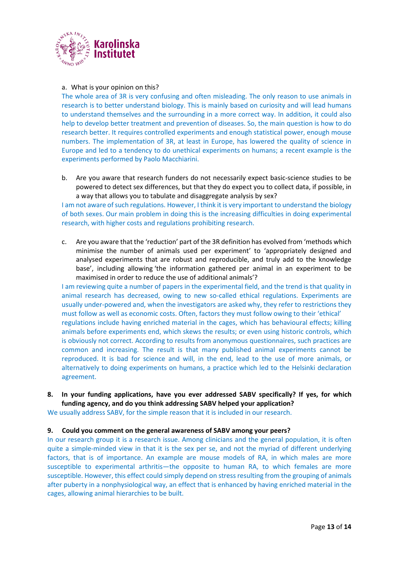

## a. What is your opinion on this?

The whole area of 3R is very confusing and often misleading. The only reason to use animals in research is to better understand biology. This is mainly based on curiosity and will lead humans to understand themselves and the surrounding in a more correct way. In addition, it could also help to develop better treatment and prevention of diseases. So, the main question is how to do research better. It requires controlled experiments and enough statistical power, enough mouse numbers. The implementation of 3R, at least in Europe, has lowered the quality of science in Europe and led to a tendency to do unethical experiments on humans; a recent example is the experiments performed by Paolo Macchiarini.

b. Are you aware that research funders do not necessarily expect basic-science studies to be powered to detect sex differences, but that they do expect you to collect data, if possible, in a way that allows you to tabulate and disaggregate analysis by sex?

I am not aware of such regulations. However, I think it is very important to understand the biology of both sexes. Our main problem in doing this is the increasing difficulties in doing experimental research, with higher costs and regulations prohibiting research.

c. Are you aware that the 'reduction' part of the 3R definition has evolved from 'methods which minimise the number of animals used per experiment' to 'appropriately designed and analysed experiments that are robust and reproducible, and truly add to the knowledge base', including allowing 'the information gathered per animal in an experiment to be maximised in order to reduce the use of additional animals'?

I am reviewing quite a number of papers in the experimental field, and the trend is that quality in animal research has decreased, owing to new so-called ethical regulations. Experiments are usually under-powered and, when the investigators are asked why, they refer to restrictions they must follow as well as economic costs. Often, factors they must follow owing to their 'ethical' regulations include having enriched material in the cages, which has behavioural effects; killing animals before experiments end, which skews the results; or even using historic controls, which is obviously not correct. According to results from anonymous questionnaires, such practices are common and increasing. The result is that many published animal experiments cannot be reproduced. It is bad for science and will, in the end, lead to the use of more animals, or alternatively to doing experiments on humans, a practice which led to the Helsinki declaration agreement.

## **8. In your funding applications, have you ever addressed SABV specifically? If yes, for which funding agency, and do you think addressing SABV helped your application?**

We usually address SABV, for the simple reason that it is included in our research.

## **9. Could you comment on the general awareness of SABV among your peers?**

In our research group it is a research issue. Among clinicians and the general population, it is often quite a simple-minded view in that it is the sex per se, and not the myriad of different underlying factors, that is of importance. An example are mouse models of RA, in which males are more susceptible to experimental arthritis—the opposite to human RA, to which females are more susceptible. However, this effect could simply depend on stress resulting from the grouping of animals after puberty in a nonphysiological way, an effect that is enhanced by having enriched material in the cages, allowing animal hierarchies to be built.